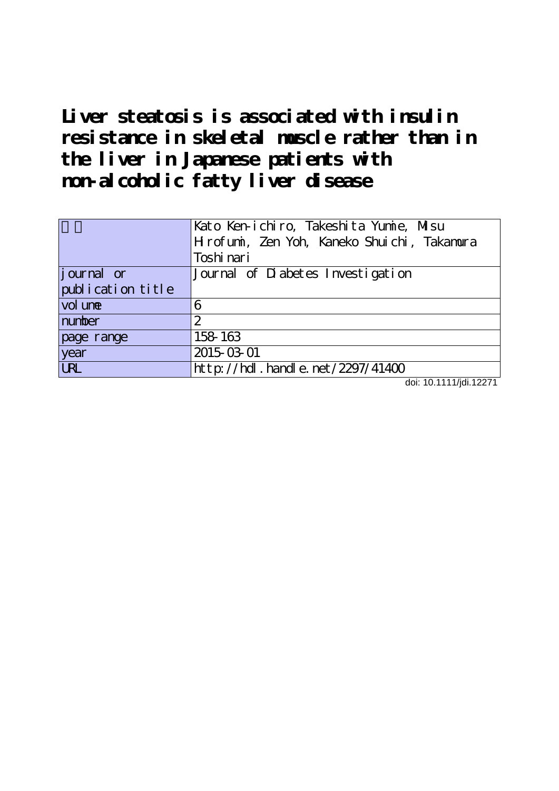**Liver steatosis is associated with insulin resistance in skeletal muscle rather than in the liver in Japanese patients with non-alcoholic fatty liver disease**

| Hrofuni, Zen Yoh, Kaneko Shuichi, Takanura<br>Toshi nari<br>Journal of Diabetes Investigation<br>publication title |            | Kato Ken-ichiro, Takeshita Yumie, Misu |
|--------------------------------------------------------------------------------------------------------------------|------------|----------------------------------------|
|                                                                                                                    |            |                                        |
|                                                                                                                    |            |                                        |
|                                                                                                                    | journal or |                                        |
|                                                                                                                    |            |                                        |
|                                                                                                                    | vol une    | 6                                      |
| number<br>2                                                                                                        |            |                                        |
| 158 163<br>page range                                                                                              |            |                                        |
| 2015-03-01                                                                                                         | year       |                                        |
| $\overline{\text{UR}}$<br>http://hdl.handle.net/2297/41400                                                         |            |                                        |

doi: 10.1111/jdi.12271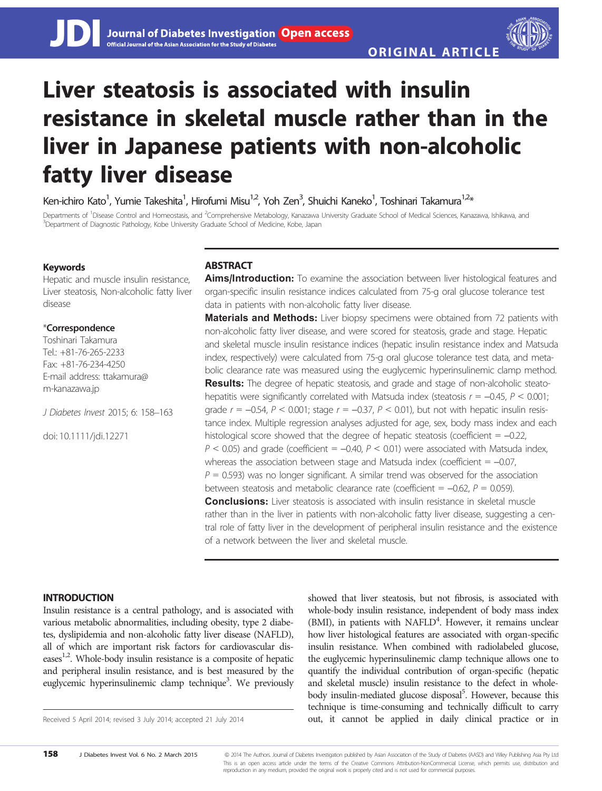# Liver steatosis is associated with insulin resistance in skeletal muscle rather than in the liver in Japanese patients with non-alcoholic fatty liver disease

Ken-ichiro Kato<sup>1</sup>, Yumie Takeshita<sup>1</sup>, Hirofumi Misu<sup>1,2</sup>, Yoh Zen<sup>3</sup>, Shuichi Kaneko<sup>1</sup>, Toshinari Takamura<sup>1,2</sup>\*

Departments of <sup>1</sup>Disease Control and Homeostasis, and <sup>2</sup>Comprehensive Metabology, Kanazawa University Graduate School of Medical Sciences, Kanazawa, Ishikawa, and<br><sup>3</sup>Department of Diagnostic Pathology, Kobe University Gr <sup>3</sup>Department of Diagnostic Pathology, Kobe University Graduate School of Medicine, Kobe, Japan

# Keywords

Hepatic and muscle insulin resistance, Liver steatosis, Non-alcoholic fatty liver disease

# \*Correspondence

Toshinari Takamura  $Tel: +81-76-265-2233$ Fax: +81-76-234-4250 E-mail address: ttakamura@ m-kanazawa.jp

J Diabetes Invest 2015; 6: 158–163

doi: 10.1111/jdi.12271

# **ABSTRACT**

Aims/Introduction: To examine the association between liver histological features and organ-specific insulin resistance indices calculated from 75-g oral glucose tolerance test data in patients with non-alcoholic fatty liver disease.

**Materials and Methods:** Liver biopsy specimens were obtained from 72 patients with non-alcoholic fatty liver disease, and were scored for steatosis, grade and stage. Hepatic and skeletal muscle insulin resistance indices (hepatic insulin resistance index and Matsuda index, respectively) were calculated from 75-g oral glucose tolerance test data, and metabolic clearance rate was measured using the euglycemic hyperinsulinemic clamp method. **Results:** The degree of hepatic steatosis, and grade and stage of non-alcoholic steatohepatitis were significantly correlated with Matsuda index (steatosis  $r = -0.45$ ,  $P < 0.001$ ; grade  $r = -0.54$ ,  $P < 0.001$ ; stage  $r = -0.37$ ,  $P < 0.01$ ), but not with hepatic insulin resistance index. Multiple regression analyses adjusted for age, sex, body mass index and each histological score showed that the degree of hepatic steatosis (coefficient  $= -0.22$ ,  $P < 0.05$ ) and grade (coefficient = -0.40,  $P < 0.01$ ) were associated with Matsuda index, whereas the association between stage and Matsuda index (coefficient  $= -0.07$ ,  $P = 0.593$ ) was no longer significant. A similar trend was observed for the association between steatosis and metabolic clearance rate (coefficient =  $-0.62$ ,  $P = 0.059$ ). **Conclusions:** Liver steatosis is associated with insulin resistance in skeletal muscle rather than in the liver in patients with non-alcoholic fatty liver disease, suggesting a central role of fatty liver in the development of peripheral insulin resistance and the existence of a network between the liver and skeletal muscle.

# INTRODUCTION

Insulin resistance is a central pathology, and is associated with various metabolic abnormalities, including obesity, type 2 diabetes, dyslipidemia and non-alcoholic fatty liver disease (NAFLD), all of which are important risk factors for cardiovascular diseases<sup>1,2</sup>. Whole-body insulin resistance is a composite of hepatic and peripheral insulin resistance, and is best measured by the euglycemic hyperinsulinemic clamp technique<sup>3</sup>. We previously

showed that liver steatosis, but not fibrosis, is associated with whole-body insulin resistance, independent of body mass index (BMI), in patients with NAFLD<sup>4</sup>. However, it remains unclear how liver histological features are associated with organ-specific insulin resistance. When combined with radiolabeled glucose, the euglycemic hyperinsulinemic clamp technique allows one to quantify the individual contribution of organ-specific (hepatic and skeletal muscle) insulin resistance to the defect in wholebody insulin-mediated glucose disposal<sup>5</sup>. However, because this technique is time-consuming and technically difficult to carry Received 5 April 2014; revised 3 July 2014; accepted 21 July 2014 **out, it cannot be applied in daily clinical practice or in**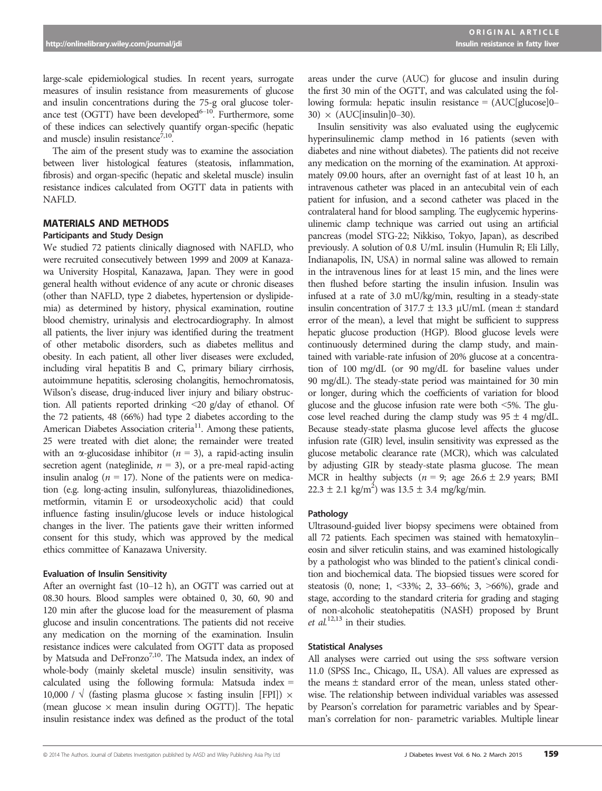large-scale epidemiological studies. In recent years, surrogate measures of insulin resistance from measurements of glucose and insulin concentrations during the 75-g oral glucose tolerance test (OGTT) have been developed $6-10$ . Furthermore, some of these indices can selectively quantify organ-specific (hepatic and muscle) insulin resistance<sup>7,10</sup>.

The aim of the present study was to examine the association between liver histological features (steatosis, inflammation, fibrosis) and organ-specific (hepatic and skeletal muscle) insulin resistance indices calculated from OGTT data in patients with NAFLD.

# MATERIALS AND METHODS

### Participants and Study Design

We studied 72 patients clinically diagnosed with NAFLD, who were recruited consecutively between 1999 and 2009 at Kanazawa University Hospital, Kanazawa, Japan. They were in good general health without evidence of any acute or chronic diseases (other than NAFLD, type 2 diabetes, hypertension or dyslipidemia) as determined by history, physical examination, routine blood chemistry, urinalysis and electrocardiography. In almost all patients, the liver injury was identified during the treatment of other metabolic disorders, such as diabetes mellitus and obesity. In each patient, all other liver diseases were excluded, including viral hepatitis B and C, primary biliary cirrhosis, autoimmune hepatitis, sclerosing cholangitis, hemochromatosis, Wilson's disease, drug-induced liver injury and biliary obstruction. All patients reported drinking <20 g/day of ethanol. Of the 72 patients, 48 (66%) had type 2 diabetes according to the American Diabetes Association criteria<sup>11</sup>. Among these patients, 25 were treated with diet alone; the remainder were treated with an  $\alpha$ -glucosidase inhibitor ( $n = 3$ ), a rapid-acting insulin secretion agent (nateglinide,  $n = 3$ ), or a pre-meal rapid-acting insulin analog ( $n = 17$ ). None of the patients were on medication (e.g. long-acting insulin, sulfonylureas, thiazolidinediones, metformin, vitamin E or ursodeoxycholic acid) that could influence fasting insulin/glucose levels or induce histological changes in the liver. The patients gave their written informed consent for this study, which was approved by the medical ethics committee of Kanazawa University.

#### Evaluation of Insulin Sensitivity

After an overnight fast (10–12 h), an OGTT was carried out at 08.30 hours. Blood samples were obtained 0, 30, 60, 90 and 120 min after the glucose load for the measurement of plasma glucose and insulin concentrations. The patients did not receive any medication on the morning of the examination. Insulin resistance indices were calculated from OGTT data as proposed by Matsuda and DeFronzo<sup>7,10</sup>. The Matsuda index, an index of whole-body (mainly skeletal muscle) insulin sensitivity, was calculated using the following formula: Matsuda index  $=$ 10,000 /  $\sqrt{}$  (fasting plasma glucose  $\times$  fasting insulin [FPI])  $\times$ (mean glucose  $\times$  mean insulin during OGTT)]. The hepatic insulin resistance index was defined as the product of the total

areas under the curve (AUC) for glucose and insulin during the first 30 min of the OGTT, and was calculated using the following formula: hepatic insulin resistance = (AUC[glucose]0– 30)  $\times$  (AUC[insulin]0–30).

Insulin sensitivity was also evaluated using the euglycemic hyperinsulinemic clamp method in 16 patients (seven with diabetes and nine without diabetes). The patients did not receive any medication on the morning of the examination. At approximately 09.00 hours, after an overnight fast of at least 10 h, an intravenous catheter was placed in an antecubital vein of each patient for infusion, and a second catheter was placed in the contralateral hand for blood sampling. The euglycemic hyperinsulinemic clamp technique was carried out using an artificial pancreas (model STG-22; Nikkiso, Tokyo, Japan), as described previously. A solution of 0.8 U/mL insulin (Humulin R; Eli Lilly, Indianapolis, IN, USA) in normal saline was allowed to remain in the intravenous lines for at least 15 min, and the lines were then flushed before starting the insulin infusion. Insulin was infused at a rate of 3.0 mU/kg/min, resulting in a steady-state insulin concentration of 317.7  $\pm$  13.3 µU/mL (mean  $\pm$  standard error of the mean), a level that might be sufficient to suppress hepatic glucose production (HGP). Blood glucose levels were continuously determined during the clamp study, and maintained with variable-rate infusion of 20% glucose at a concentration of 100 mg/dL (or 90 mg/dL for baseline values under 90 mg/dL). The steady-state period was maintained for 30 min or longer, during which the coefficients of variation for blood glucose and the glucose infusion rate were both <5%. The glucose level reached during the clamp study was  $95 \pm 4$  mg/dL. Because steady-state plasma glucose level affects the glucose infusion rate (GIR) level, insulin sensitivity was expressed as the glucose metabolic clearance rate (MCR), which was calculated by adjusting GIR by steady-state plasma glucose. The mean MCR in healthy subjects ( $n = 9$ ; age 26.6  $\pm$  2.9 years; BMI  $22.3 \pm 2.1$  kg/m<sup>2</sup>) was  $13.5 \pm 3.4$  mg/kg/min.

#### Pathology

Ultrasound-guided liver biopsy specimens were obtained from all 72 patients. Each specimen was stained with hematoxylin– eosin and silver reticulin stains, and was examined histologically by a pathologist who was blinded to the patient's clinical condition and biochemical data. The biopsied tissues were scored for steatosis (0, none; 1, <33%; 2, 33–66%; 3, >66%), grade and stage, according to the standard criteria for grading and staging of non-alcoholic steatohepatitis (NASH) proposed by Brunt et  $al$ .<sup>12,13</sup> in their studies.

#### Statistical Analyses

All analyses were carried out using the spss software version 11.0 (SPSS Inc., Chicago, IL, USA). All values are expressed as the means  $\pm$  standard error of the mean, unless stated otherwise. The relationship between individual variables was assessed by Pearson's correlation for parametric variables and by Spearman's correlation for non- parametric variables. Multiple linear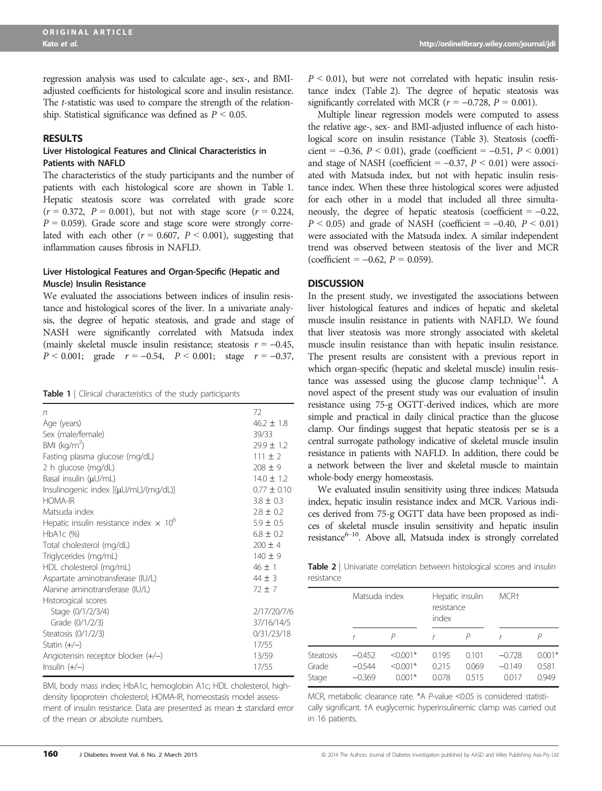regression analysis was used to calculate age-, sex-, and BMIadjusted coefficients for histological score and insulin resistance. The t-statistic was used to compare the strength of the relationship. Statistical significance was defined as  $P < 0.05$ .

#### RESULTS

#### Liver Histological Features and Clinical Characteristics in Patients with NAFLD

The characteristics of the study participants and the number of patients with each histological score are shown in Table 1. Hepatic steatosis score was correlated with grade score  $(r = 0.372, P = 0.001)$ , but not with stage score  $(r = 0.224, P = 0.001)$  $P = 0.059$ ). Grade score and stage score were strongly correlated with each other ( $r = 0.607$ ,  $P < 0.001$ ), suggesting that inflammation causes fibrosis in NAFLD.

# Liver Histological Features and Organ-Specific (Hepatic and Muscle) Insulin Resistance

We evaluated the associations between indices of insulin resistance and histological scores of the liver. In a univariate analysis, the degree of hepatic steatosis, and grade and stage of NASH were significantly correlated with Matsuda index (mainly skeletal muscle insulin resistance; steatosis  $r = -0.45$ ,  $P < 0.001$ ; grade  $r = -0.54$ ,  $P < 0.001$ ; stage  $r = -0.37$ ,

| n                                                         | 72             |
|-----------------------------------------------------------|----------------|
| Age (years)                                               | $46.2 \pm 1.8$ |
| Sex (male/female)                                         | 39/33          |
| BMI ( $kg/m2$ )                                           | $79.9 \pm 1.2$ |
| Fasting plasma glucose (mg/dL)                            | $111 + 2$      |
| 2 h glucose (mg/dL)                                       | $208 \pm 9$    |
| Basal insulin $(\mu U/mL)$                                | $14.0 \pm 1.2$ |
| Insulinogenic index [(µU/mL)/(mg/dL)]                     | $077 + 010$    |
| <b>HOMA-IR</b>                                            | $3.8 \pm 0.3$  |
| Matsuda index                                             | $2.8 \pm 0.2$  |
| Hepatic insulin resistance index $\times$ 10 <sup>6</sup> | $5.9 \pm 0.5$  |
| HbA1c (%)                                                 | $6.8 \pm 0.2$  |
| Total cholesterol (mg/dL)                                 | $200 \pm 4$    |
| Triglycerides (mg/mL)                                     | $140 \pm 9$    |
| HDL cholesterol (mg/mL)                                   | $46 \pm 1$     |
| Aspartate aminotransferase (IU/L)                         | $44 + 3$       |
| Alanine aminotransferase (IU/L)                           | $72 + 7$       |
| Historogical scores                                       |                |
| Stage (0/1/2/3/4)                                         | 2/17/20/7/6    |
| Grade (0/1/2/3)                                           | 37/16/14/5     |
| Steatosis (0/1/2/3)                                       | 0/31/23/18     |
| Statin $(+/-)$                                            | 17/55          |
| Angiotensin receptor blocker $(+/-)$                      | 13/59          |
| Insulin $(+/-)$                                           | 17/55          |

BMI, body mass index; HbA1c, hemoglobin A1c; HDL cholesterol, highdensity lipoprotein cholesterol; HOMA-IR, homeostasis model assessment of insulin resistance. Data are presented as mean  $\pm$  standard error of the mean or absolute numbers.

 $P < 0.01$ ), but were not correlated with hepatic insulin resistance index (Table 2). The degree of hepatic steatosis was significantly correlated with MCR ( $r = -0.728$ ,  $P = 0.001$ ).

Multiple linear regression models were computed to assess the relative age-, sex- and BMI-adjusted influence of each histological score on insulin resistance (Table 3). Steatosis (coefficient =  $-0.36$ ,  $P < 0.01$ ), grade (coefficient =  $-0.51$ ,  $P < 0.001$ ) and stage of NASH (coefficient  $= -0.37$ ,  $P \le 0.01$ ) were associated with Matsuda index, but not with hepatic insulin resistance index. When these three histological scores were adjusted for each other in a model that included all three simultaneously, the degree of hepatic steatosis (coefficient  $= -0.22$ ,  $P < 0.05$ ) and grade of NASH (coefficient = -0.40,  $P < 0.01$ ) were associated with the Matsuda index. A similar independent trend was observed between steatosis of the liver and MCR (coefficient =  $-0.62$ ,  $P = 0.059$ ).

# **DISCUSSION**

In the present study, we investigated the associations between liver histological features and indices of hepatic and skeletal muscle insulin resistance in patients with NAFLD. We found that liver steatosis was more strongly associated with skeletal muscle insulin resistance than with hepatic insulin resistance. The present results are consistent with a previous report in which organ-specific (hepatic and skeletal muscle) insulin resistance was assessed using the glucose clamp technique<sup>14</sup>. A novel aspect of the present study was our evaluation of insulin resistance using 75-g OGTT-derived indices, which are more simple and practical in daily clinical practice than the glucose clamp. Our findings suggest that hepatic steatosis per se is a central surrogate pathology indicative of skeletal muscle insulin resistance in patients with NAFLD. In addition, there could be a network between the liver and skeletal muscle to maintain whole-body energy homeostasis.

We evaluated insulin sensitivity using three indices: Matsuda index, hepatic insulin resistance index and MCR. Various indices derived from 75-g OGTT data have been proposed as indices of skeletal muscle insulin sensitivity and hepatic insulin  $resistance^{6-10}$ . Above all, Matsuda index is strongly correlated

Table 2 | Univariate correlation between histological scores and insulin resistance

|                                    | Matsuda index                    |                                      | resistance<br>index     | Hepatic insulin        | MCR <sup>+</sup>              |                            |  |
|------------------------------------|----------------------------------|--------------------------------------|-------------------------|------------------------|-------------------------------|----------------------------|--|
|                                    |                                  |                                      |                         |                        |                               |                            |  |
| <b>Steatosis</b><br>Grade<br>Stage | $-0.452$<br>$-0.544$<br>$-0.369$ | $< 0.001*$<br>$< 0.001*$<br>$0.001*$ | 0.195<br>0.215<br>0.078 | 0.101<br>0.069<br>0515 | $-0.728$<br>$-0.149$<br>0.017 | $0.001*$<br>0.581<br>0.949 |  |

MCR, metabolic clearance rate. \*A P-value <0.05 is considered statistically significant. †A euglycemic hyperinsulinemic clamp was carried out in 16 patients.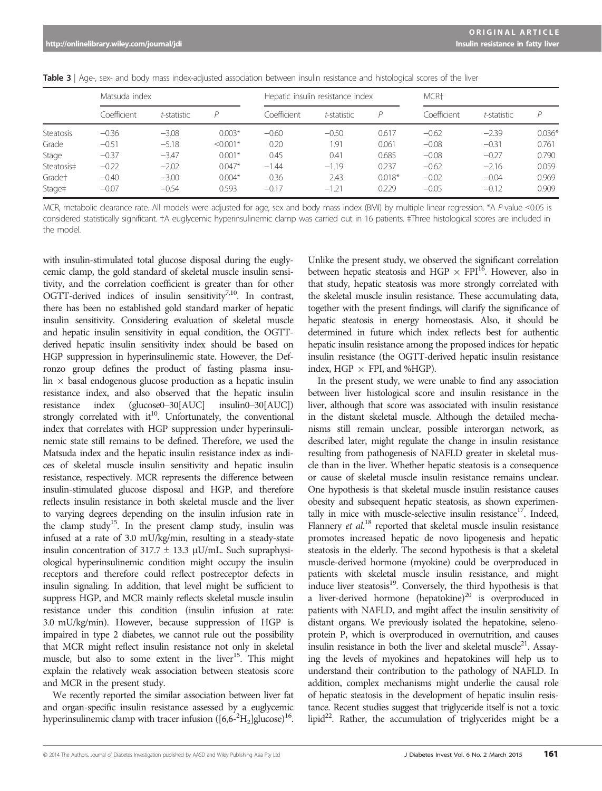|  |  |  |  |  | Table 3   Age-, sex- and body mass index-adjusted association between insulin resistance and histological scores of the liver |  |  |  |  |  |  |  |  |  |
|--|--|--|--|--|-------------------------------------------------------------------------------------------------------------------------------|--|--|--|--|--|--|--|--|--|
|--|--|--|--|--|-------------------------------------------------------------------------------------------------------------------------------|--|--|--|--|--|--|--|--|--|

|                    | Matsuda index |             |            |             | Hepatic insulin resistance index |          | MCR <sup>+</sup> |             |          |  |
|--------------------|---------------|-------------|------------|-------------|----------------------------------|----------|------------------|-------------|----------|--|
|                    | Coefficient   | t-statistic | D          | Coefficient | t-statistic                      | D        | Coefficient      | t-statistic | P        |  |
| Steatosis          | $-0.36$       | $-3.08$     | $0.003*$   | $-0.60$     | $-0.50$                          | 0.617    | $-0.62$          | $-2.39$     | $0.036*$ |  |
| Grade              | $-0.51$       | $-5.18$     | $< 0.001*$ | 0.20        | 1.91                             | 0.061    | $-0.08$          | $-0.31$     | 0.761    |  |
| Stage              | $-0.37$       | $-3.47$     | $0.001*$   | 0.45        | 0.41                             | 0.685    | $-0.08$          | $-0.27$     | 0.790    |  |
| Steatosis‡         | $-0.22$       | $-2.02$     | $0.047*$   | $-1.44$     | $-1.19$                          | 0.237    | $-0.62$          | $-2.16$     | 0.059    |  |
| Grade <sup>+</sup> | $-0.40$       | $-3.00$     | $0.004*$   | 0.36        | 2.43                             | $0.018*$ | $-0.02$          | $-0.04$     | 0.969    |  |
| Stage <sup>‡</sup> | $-0.07$       | $-0.54$     | 0.593      | $-0.17$     | $-1.21$                          | 0.229    | $-0.05$          | $-0.12$     | 0.909    |  |

MCR, metabolic clearance rate. All models were adjusted for age, sex and body mass index (BMI) by multiple linear regression. \*A P-value <0.05 is considered statistically significant. †A euglycemic hyperinsulinemic clamp was carried out in 16 patients. ‡Three histological scores are included in the model.

with insulin-stimulated total glucose disposal during the euglycemic clamp, the gold standard of skeletal muscle insulin sensitivity, and the correlation coefficient is greater than for other OGTT-derived indices of insulin sensitivity<sup>7,10</sup>. In contrast, there has been no established gold standard marker of hepatic insulin sensitivity. Considering evaluation of skeletal muscle and hepatic insulin sensitivity in equal condition, the OGTTderived hepatic insulin sensitivity index should be based on HGP suppression in hyperinsulinemic state. However, the Defronzo group defines the product of fasting plasma insulin  $\times$  basal endogenous glucose production as a hepatic insulin resistance index, and also observed that the hepatic insulin resistance index (glucose0–30[AUC] insulin0–30[AUC]) strongly correlated with  $it^{10}$ . Unfortunately, the conventional index that correlates with HGP suppression under hyperinsulinemic state still remains to be defined. Therefore, we used the Matsuda index and the hepatic insulin resistance index as indices of skeletal muscle insulin sensitivity and hepatic insulin resistance, respectively. MCR represents the difference between insulin-stimulated glucose disposal and HGP, and therefore reflects insulin resistance in both skeletal muscle and the liver to varying degrees depending on the insulin infusion rate in the clamp study<sup>15</sup>. In the present clamp study, insulin was infused at a rate of 3.0 mU/kg/min, resulting in a steady-state insulin concentration of 317.7  $\pm$  13.3  $\mu$ U/mL. Such supraphysiological hyperinsulinemic condition might occupy the insulin receptors and therefore could reflect postreceptor defects in insulin signaling. In addition, that level might be sufficient to suppress HGP, and MCR mainly reflects skeletal muscle insulin resistance under this condition (insulin infusion at rate: 3.0 mU/kg/min). However, because suppression of HGP is impaired in type 2 diabetes, we cannot rule out the possibility that MCR might reflect insulin resistance not only in skeletal muscle, but also to some extent in the liver<sup>15</sup>. This might explain the relatively weak association between steatosis score and MCR in the present study.

We recently reported the similar association between liver fat and organ-specific insulin resistance assessed by a euglycemic hyperinsulinemic clamp with tracer infusion  $([6,6^{-2}H_2]$ glucose)<sup>16</sup>.

Unlike the present study, we observed the significant correlation between hepatic steatosis and HGP  $\times$  FPI<sup>16</sup>. However, also in that study, hepatic steatosis was more strongly correlated with the skeletal muscle insulin resistance. These accumulating data, together with the present findings, will clarify the significance of hepatic steatosis in energy homeostasis. Also, it should be determined in future which index reflects best for authentic hepatic insulin resistance among the proposed indices for hepatic insulin resistance (the OGTT-derived hepatic insulin resistance index, HGP  $\times$  FPI, and %HGP).

In the present study, we were unable to find any association between liver histological score and insulin resistance in the liver, although that score was associated with insulin resistance in the distant skeletal muscle. Although the detailed mechanisms still remain unclear, possible interorgan network, as described later, might regulate the change in insulin resistance resulting from pathogenesis of NAFLD greater in skeletal muscle than in the liver. Whether hepatic steatosis is a consequence or cause of skeletal muscle insulin resistance remains unclear. One hypothesis is that skeletal muscle insulin resistance causes obesity and subsequent hepatic steatosis, as shown experimentally in mice with muscle-selective insulin resistance<sup>17</sup>. Indeed, Flannery et  $al$ .<sup>18</sup> reported that skeletal muscle insulin resistance promotes increased hepatic de novo lipogenesis and hepatic steatosis in the elderly. The second hypothesis is that a skeletal muscle-derived hormone (myokine) could be overproduced in patients with skeletal muscle insulin resistance, and might induce liver steatosis<sup>19</sup>. Conversely, the third hypothesis is that a liver-derived hormone (hepatokine) $^{20}$  is overproduced in patients with NAFLD, and mgiht affect the insulin sensitivity of distant organs. We previously isolated the hepatokine, selenoprotein P, which is overproduced in overnutrition, and causes insulin resistance in both the liver and skeletal muscle<sup>21</sup>. Assaying the levels of myokines and hepatokines will help us to understand their contribution to the pathology of NAFLD. In addition, complex mechanisms might underlie the causal role of hepatic steatosis in the development of hepatic insulin resistance. Recent studies suggest that triglyceride itself is not a toxic lipid $^{22}$ . Rather, the accumulation of triglycerides might be a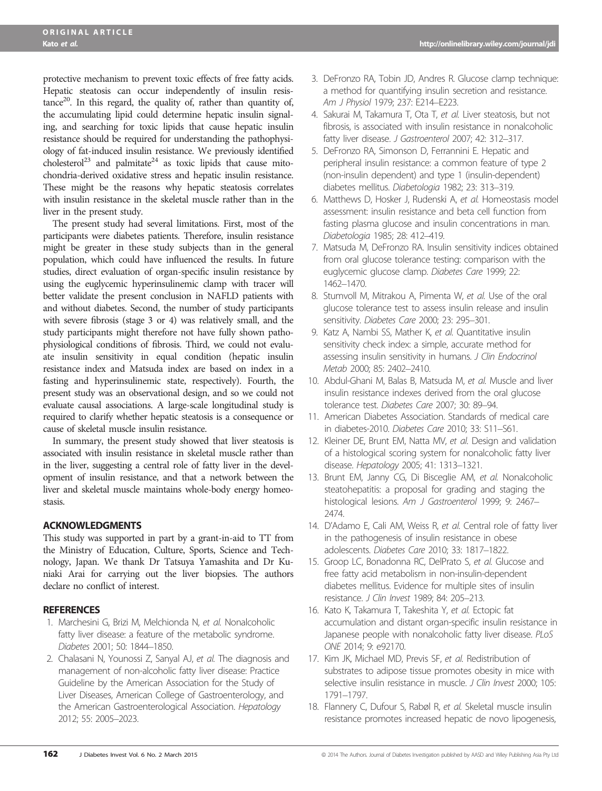protective mechanism to prevent toxic effects of free fatty acids. Hepatic steatosis can occur independently of insulin resis $tance<sup>20</sup>$ . In this regard, the quality of, rather than quantity of, the accumulating lipid could determine hepatic insulin signaling, and searching for toxic lipids that cause hepatic insulin resistance should be required for understanding the pathophysiology of fat-induced insulin resistance. We previously identified cholesterol<sup>23</sup> and palmitate<sup>24</sup> as toxic lipids that cause mitochondria-derived oxidative stress and hepatic insulin resistance. These might be the reasons why hepatic steatosis correlates with insulin resistance in the skeletal muscle rather than in the liver in the present study.

The present study had several limitations. First, most of the participants were diabetes patients. Therefore, insulin resistance might be greater in these study subjects than in the general population, which could have influenced the results. In future studies, direct evaluation of organ-specific insulin resistance by using the euglycemic hyperinsulinemic clamp with tracer will better validate the present conclusion in NAFLD patients with and without diabetes. Second, the number of study participants with severe fibrosis (stage 3 or 4) was relatively small, and the study participants might therefore not have fully shown pathophysiological conditions of fibrosis. Third, we could not evaluate insulin sensitivity in equal condition (hepatic insulin resistance index and Matsuda index are based on index in a fasting and hyperinsulinemic state, respectively). Fourth, the present study was an observational design, and so we could not evaluate causal associations. A large-scale longitudinal study is required to clarify whether hepatic steatosis is a consequence or cause of skeletal muscle insulin resistance.

In summary, the present study showed that liver steatosis is associated with insulin resistance in skeletal muscle rather than in the liver, suggesting a central role of fatty liver in the development of insulin resistance, and that a network between the liver and skeletal muscle maintains whole-body energy homeostasis.

# ACKNOWLEDGMENTS

This study was supported in part by a grant-in-aid to TT from the Ministry of Education, Culture, Sports, Science and Technology, Japan. We thank Dr Tatsuya Yamashita and Dr Kuniaki Arai for carrying out the liver biopsies. The authors declare no conflict of interest.

# **REFERENCES**

- 1. Marchesini G, Brizi M, Melchionda N, et al. Nonalcoholic fatty liver disease: a feature of the metabolic syndrome. Diabetes 2001; 50: 1844–1850.
- 2. Chalasani N, Younossi Z, Sanyal AJ, et al. The diagnosis and management of non-alcoholic fatty liver disease: Practice Guideline by the American Association for the Study of Liver Diseases, American College of Gastroenterology, and the American Gastroenterological Association. Hepatology 2012; 55: 2005–2023.
- 3. DeFronzo RA, Tobin JD, Andres R. Glucose clamp technique: a method for quantifying insulin secretion and resistance. Am J Physiol 1979; 237: E214–E223.
- 4. Sakurai M, Takamura T, Ota T, et al. Liver steatosis, but not fibrosis, is associated with insulin resistance in nonalcoholic fatty liver disease. J Gastroenterol 2007; 42: 312–317.
- 5. DeFronzo RA, Simonson D, Ferrannini E. Hepatic and peripheral insulin resistance: a common feature of type 2 (non-insulin dependent) and type 1 (insulin-dependent) diabetes mellitus. Diabetologia 1982; 23: 313–319.
- 6. Matthews D, Hosker J, Rudenski A, et al. Homeostasis model assessment: insulin resistance and beta cell function from fasting plasma glucose and insulin concentrations in man. Diabetologia 1985; 28: 412–419.
- 7. Matsuda M, DeFronzo RA. Insulin sensitivity indices obtained from oral glucose tolerance testing: comparison with the euglycemic glucose clamp. Diabetes Care 1999; 22: 1462–1470.
- 8. Stumvoll M, Mitrakou A, Pimenta W, et al. Use of the oral glucose tolerance test to assess insulin release and insulin sensitivity. Diabetes Care 2000; 23: 295–301.
- 9. Katz A, Nambi SS, Mather K, et al. Quantitative insulin sensitivity check index: a simple, accurate method for assessing insulin sensitivity in humans. J Clin Endocrinol Metab 2000; 85: 2402–2410.
- 10. Abdul-Ghani M, Balas B, Matsuda M, et al. Muscle and liver insulin resistance indexes derived from the oral glucose tolerance test. Diabetes Care 2007; 30: 89–94.
- 11. American Diabetes Association. Standards of medical care in diabetes-2010. Diabetes Care 2010; 33: S11–S61.
- 12. Kleiner DE, Brunt EM, Natta MV, et al. Design and validation of a histological scoring system for nonalcoholic fatty liver disease. Hepatology 2005; 41: 1313–1321.
- 13. Brunt EM, Janny CG, Di Bisceglie AM, et al. Nonalcoholic steatohepatitis: a proposal for grading and staging the histological lesions. Am J Gastroenterol 1999; 9: 2467– 2474.
- 14. D'Adamo E, Cali AM, Weiss R, et al. Central role of fatty liver in the pathogenesis of insulin resistance in obese adolescents. Diabetes Care 2010; 33: 1817–1822.
- 15. Groop LC, Bonadonna RC, DelPrato S, et al. Glucose and free fatty acid metabolism in non-insulin-dependent diabetes mellitus. Evidence for multiple sites of insulin resistance. J Clin Invest 1989; 84: 205–213.
- 16. Kato K, Takamura T, Takeshita Y, et al. Ectopic fat accumulation and distant organ-specific insulin resistance in Japanese people with nonalcoholic fatty liver disease. PLoS ONE 2014; 9: e92170.
- 17. Kim JK, Michael MD, Previs SF, et al. Redistribution of substrates to adipose tissue promotes obesity in mice with selective insulin resistance in muscle. J Clin Invest 2000; 105: 1791–1797.
- 18. Flannery C, Dufour S, Rabøl R, et al. Skeletal muscle insulin resistance promotes increased hepatic de novo lipogenesis,